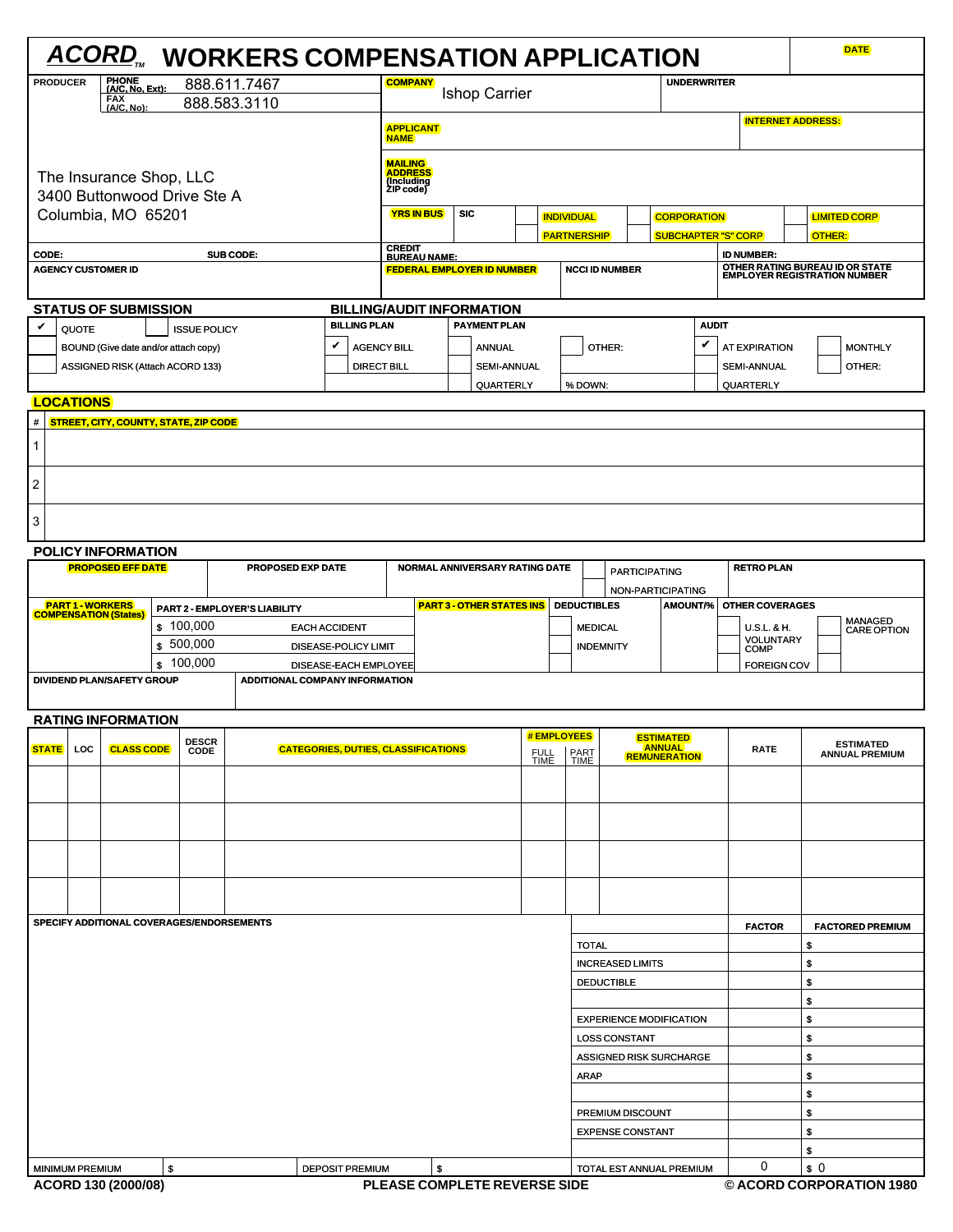|                                                             |                                                   |                                                                          |    |                                                              | <b>ACORD, WORKERS COMPENSATION APPLICATION</b> |                                            |                                                                                 |                                   |                  |                    |                             |                                             |                                           |                                            |                                                                 |                          | <b>DATE</b>                    |
|-------------------------------------------------------------|---------------------------------------------------|--------------------------------------------------------------------------|----|--------------------------------------------------------------|------------------------------------------------|--------------------------------------------|---------------------------------------------------------------------------------|-----------------------------------|------------------|--------------------|-----------------------------|---------------------------------------------|-------------------------------------------|--------------------------------------------|-----------------------------------------------------------------|--------------------------|--------------------------------|
| PHONE<br>(A/C, No, Ext):<br><b>PRODUCER</b><br>888.611.7467 |                                                   |                                                                          |    | <b>COMPANY</b><br><b>UNDERWRITER</b><br><b>Ishop Carrier</b> |                                                |                                            |                                                                                 |                                   |                  |                    |                             |                                             |                                           |                                            |                                                                 |                          |                                |
| FAX<br>(A/C, No):<br>888.583.3110                           |                                                   |                                                                          |    | <b>APPLICANT</b><br><b>NAME</b>                              |                                                |                                            |                                                                                 |                                   |                  |                    |                             |                                             | <b>INTERNET ADDRESS:</b>                  |                                            |                                                                 |                          |                                |
|                                                             |                                                   | The Insurance Shop, LLC                                                  |    |                                                              |                                                |                                            | <b>MAILING</b><br>ADDRESS<br>(Including<br>ZIP code)                            |                                   |                  |                    |                             |                                             |                                           |                                            |                                                                 |                          |                                |
|                                                             | 3400 Buttonwood Drive Ste A<br>Columbia, MO 65201 |                                                                          |    |                                                              |                                                |                                            | <b>YRS IN BUS</b>                                                               | <b>SIC</b>                        |                  |                    | <b>INDIVIDUAL</b>           |                                             | <b>CORPORATION</b>                        |                                            |                                                                 |                          | <b>LIMITED CORP</b>            |
| CODE:                                                       |                                                   |                                                                          |    |                                                              | SUB CODE:                                      |                                            | <b>CREDIT<br/>BUREAU NAME:</b>                                                  |                                   |                  | <b>PARTNERSHIP</b> |                             |                                             | <b>SUBCHAPTER "S" CORP</b>                |                                            | <b>ID NUMBER:</b>                                               | OTHER:                   |                                |
|                                                             |                                                   | <b>AGENCY CUSTOMER ID</b>                                                |    |                                                              |                                                |                                            |                                                                                 | <b>FEDERAL EMPLOYER ID NUMBER</b> |                  |                    |                             | <b>NCCI ID NUMBER</b>                       |                                           |                                            | OTHER RATING BUREAU ID OR STATE<br>EMPLOYER REGISTRATION NUMBER |                          |                                |
|                                                             |                                                   | <b>STATUS OF SUBMISSION</b>                                              |    |                                                              |                                                |                                            |                                                                                 | <b>BILLING/AUDIT INFORMATION</b>  |                  |                    |                             |                                             |                                           |                                            |                                                                 |                          |                                |
| V                                                           | QUOTE                                             |                                                                          |    | <b>ISSUE POLICY</b>                                          |                                                | <b>BILLING PLAN</b>                        | <b>PAYMENT PLAN</b>                                                             |                                   |                  |                    |                             |                                             |                                           | <b>AUDIT</b>                               |                                                                 |                          |                                |
|                                                             |                                                   | BOUND (Give date and/or attach copy)<br>ASSIGNED RISK (Attach ACORD 133) |    |                                                              |                                                | V                                          | <b>AGENCY BILL</b><br><b>ANNUAL</b><br><b>DIRECT BILL</b><br><b>SEMI-ANNUAL</b> |                                   |                  | OTHER:             |                             |                                             | V                                         | <b>AT EXPIRATION</b><br><b>SEMI-ANNUAL</b> |                                                                 | <b>MONTHLY</b><br>OTHER: |                                |
|                                                             | <b>LOCATIONS</b>                                  |                                                                          |    |                                                              |                                                |                                            |                                                                                 |                                   | <b>QUARTERLY</b> |                    | % DOWN:                     |                                             |                                           |                                            | QUARTERLY                                                       |                          |                                |
| #                                                           |                                                   | <b>STREET, CITY, COUNTY, STATE, ZIP CODE</b>                             |    |                                                              |                                                |                                            |                                                                                 |                                   |                  |                    |                             |                                             |                                           |                                            |                                                                 |                          |                                |
| 1                                                           |                                                   |                                                                          |    |                                                              |                                                |                                            |                                                                                 |                                   |                  |                    |                             |                                             |                                           |                                            |                                                                 |                          |                                |
| 2                                                           |                                                   |                                                                          |    |                                                              |                                                |                                            |                                                                                 |                                   |                  |                    |                             |                                             |                                           |                                            |                                                                 |                          |                                |
| 3                                                           |                                                   |                                                                          |    |                                                              |                                                |                                            |                                                                                 |                                   |                  |                    |                             |                                             |                                           |                                            |                                                                 |                          |                                |
|                                                             |                                                   | <b>POLICY INFORMATION</b>                                                |    |                                                              |                                                |                                            |                                                                                 |                                   |                  |                    |                             |                                             |                                           |                                            |                                                                 |                          |                                |
|                                                             |                                                   | <b>PROPOSED EFF DATE</b>                                                 |    |                                                              | PROPOSED EXP DATE                              |                                            |                                                                                 | NORMAL ANNIVERSARY RATING DATE    |                  |                    |                             |                                             | <b>PARTICIPATING</b><br>NON-PARTICIPATING |                                            | <b>RETRO PLAN</b>                                               |                          |                                |
|                                                             |                                                   | <b>PART 1 - WORKERS</b><br><b>COMPENSATION (States)</b>                  |    |                                                              | PART 2 - EMPLOYER'S LIABILITY                  |                                            |                                                                                 | <b>PART 3 - OTHER STATES INS</b>  |                  |                    | <b>DEDUCTIBLES</b>          |                                             | <b>AMOUNT/%</b>                           |                                            | <b>OTHER COVERAGES</b>                                          |                          |                                |
|                                                             |                                                   |                                                                          |    | \$100,000                                                    |                                                | <b>EACH ACCIDENT</b>                       |                                                                                 |                                   |                  |                    | <b>MEDICAL</b>              |                                             |                                           |                                            | <b>U.S.L. &amp; H.</b><br><b>VOLUNTARY</b>                      |                          | <b>MANAGED<br/>CARE OPTION</b> |
|                                                             |                                                   |                                                                          |    | \$500,000<br>\$100,000                                       |                                                | DISEASE-POLICY LIMIT                       | DISEASE-EACH EMPLOYEE                                                           |                                   |                  |                    | <b>INDEMNITY</b>            |                                             |                                           |                                            | <b>COMP</b>                                                     |                          |                                |
|                                                             |                                                   | DIVIDEND PLAN/SAFETY GROUP                                               |    |                                                              | <b>ADDITIONAL COMPANY INFORMATION</b>          |                                            |                                                                                 |                                   |                  |                    |                             |                                             |                                           |                                            | <b>FOREIGN COV</b>                                              |                          |                                |
|                                                             |                                                   | <b>RATING INFORMATION</b>                                                |    |                                                              |                                                |                                            |                                                                                 |                                   |                  |                    |                             |                                             |                                           |                                            |                                                                 |                          |                                |
| <b>STATE</b>                                                | LOC                                               | <b>CLASS CODE</b>                                                        |    | <b>DESCR</b><br><b>CODE</b>                                  |                                                | <b>CATEGORIES, DUTIES, CLASSIFICATIONS</b> |                                                                                 |                                   |                  | #EMPLOYEES         | <b>PART</b>                 |                                             | <b>ESTIMATED</b><br><b>ANNUAL</b>         |                                            | <b>RATE</b>                                                     |                          | <b>ESTIMATED</b>               |
|                                                             |                                                   |                                                                          |    |                                                              |                                                |                                            | FULL<br>TIME                                                                    |                                   |                  |                    | <b>REMUNERATION</b><br>TIME |                                             |                                           |                                            |                                                                 |                          | <b>ANNUAL PREMIUM</b>          |
|                                                             |                                                   |                                                                          |    |                                                              |                                                |                                            |                                                                                 |                                   |                  |                    |                             |                                             |                                           |                                            |                                                                 |                          |                                |
|                                                             |                                                   |                                                                          |    |                                                              |                                                |                                            |                                                                                 |                                   |                  |                    |                             |                                             |                                           |                                            |                                                                 |                          |                                |
|                                                             |                                                   |                                                                          |    |                                                              |                                                |                                            |                                                                                 |                                   |                  |                    |                             |                                             |                                           |                                            |                                                                 |                          |                                |
|                                                             |                                                   | SPECIFY ADDITIONAL COVERAGES/ENDORSEMENTS                                |    |                                                              |                                                |                                            |                                                                                 |                                   |                  |                    |                             |                                             |                                           |                                            |                                                                 |                          |                                |
|                                                             |                                                   |                                                                          |    |                                                              |                                                |                                            |                                                                                 |                                   |                  |                    | <b>TOTAL</b>                |                                             |                                           |                                            | <b>FACTOR</b>                                                   | \$                       | <b>FACTORED PREMIUM</b>        |
|                                                             |                                                   |                                                                          |    |                                                              |                                                |                                            |                                                                                 |                                   |                  |                    |                             | <b>INCREASED LIMITS</b>                     |                                           |                                            |                                                                 | \$                       |                                |
|                                                             |                                                   |                                                                          |    |                                                              |                                                |                                            |                                                                                 |                                   |                  |                    |                             | <b>DEDUCTIBLE</b>                           |                                           |                                            |                                                                 | \$                       |                                |
|                                                             |                                                   |                                                                          |    |                                                              |                                                |                                            |                                                                                 |                                   |                  |                    |                             |                                             |                                           |                                            |                                                                 | \$                       |                                |
|                                                             |                                                   |                                                                          |    |                                                              |                                                |                                            |                                                                                 |                                   |                  |                    |                             | <b>LOSS CONSTANT</b>                        | <b>EXPERIENCE MODIFICATION</b>            |                                            |                                                                 | \$<br>\$                 |                                |
|                                                             |                                                   |                                                                          |    |                                                              |                                                |                                            |                                                                                 |                                   |                  |                    |                             |                                             | ASSIGNED RISK SURCHARGE                   |                                            |                                                                 | \$                       |                                |
|                                                             |                                                   |                                                                          |    |                                                              |                                                |                                            |                                                                                 |                                   |                  |                    | <b>ARAP</b>                 |                                             |                                           |                                            |                                                                 | \$                       |                                |
|                                                             |                                                   |                                                                          |    |                                                              |                                                |                                            |                                                                                 |                                   |                  |                    |                             |                                             |                                           |                                            |                                                                 | \$                       |                                |
|                                                             |                                                   |                                                                          |    |                                                              |                                                |                                            |                                                                                 |                                   |                  |                    |                             | PREMIUM DISCOUNT<br><b>EXPENSE CONSTANT</b> |                                           |                                            |                                                                 | \$<br>\$                 |                                |
|                                                             |                                                   |                                                                          |    |                                                              |                                                |                                            |                                                                                 |                                   |                  |                    |                             |                                             |                                           |                                            |                                                                 | \$                       |                                |
|                                                             | <b>MINIMUM PREMIUM</b>                            |                                                                          | \$ |                                                              |                                                | <b>DEPOSIT PREMIUM</b>                     | \$                                                                              |                                   |                  |                    |                             |                                             | TOTAL EST ANNUAL PREMIUM                  |                                            | 0                                                               | \$0                      |                                |
|                                                             |                                                   | ACORD 130 (2000/08)                                                      |    |                                                              |                                                |                                            |                                                                                 | PLEASE COMPLETE REVERSE SIDE      |                  |                    |                             |                                             |                                           |                                            |                                                                 |                          | © ACORD CORPORATION 1980       |